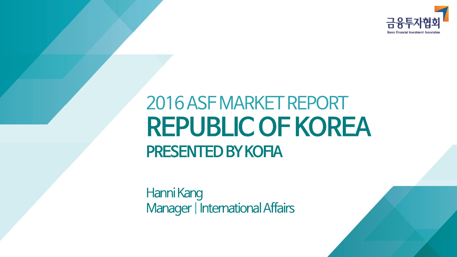

# 2016 ASF MARKET REPORT **REPUBLIC OF KOREA PRESENTED BY KOFIA**

Hanni Kang Manager | International Affairs

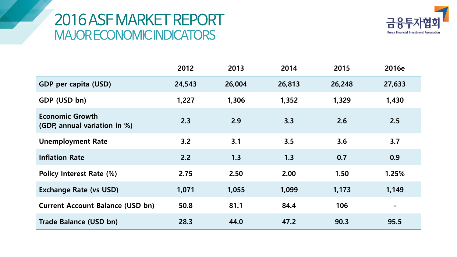# 2016 ASF MARKET REPORT MAJOR ECONOMIC INDICATORS



|                                                        | 2012   | 2013   | 2014   | 2015   | 2016e          |
|--------------------------------------------------------|--------|--------|--------|--------|----------------|
| GDP per capita (USD)                                   | 24,543 | 26,004 | 26,813 | 26,248 | 27,633         |
| GDP (USD bn)                                           | 1,227  | 1,306  | 1,352  | 1,329  | 1,430          |
| <b>Economic Growth</b><br>(GDP, annual variation in %) | 2.3    | 2.9    | 3.3    | 2.6    | 2.5            |
| <b>Unemployment Rate</b>                               | 3.2    | 3.1    | 3.5    | 3.6    | 3.7            |
| <b>Inflation Rate</b>                                  | 2.2    | 1.3    | 1.3    | 0.7    | 0.9            |
| <b>Policy Interest Rate (%)</b>                        | 2.75   | 2.50   | 2.00   | 1.50   | 1.25%          |
| <b>Exchange Rate (vs USD)</b>                          | 1,071  | 1,055  | 1,099  | 1,173  | 1,149          |
| <b>Current Account Balance (USD bn)</b>                | 50.8   | 81.1   | 84.4   | 106    | $\blacksquare$ |
| Trade Balance (USD bn)                                 | 28.3   | 44.0   | 47.2   | 90.3   | 95.5           |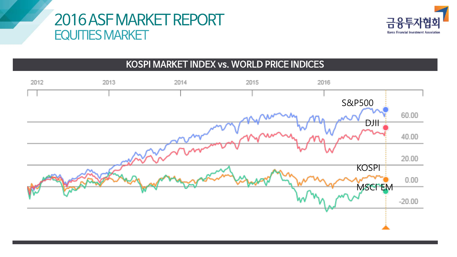# 2016 ASF MARKET REPORT **EQUITIES MARKET**



#### KOSPI MARKET INDEX vs. WORLD PRICE INDICES

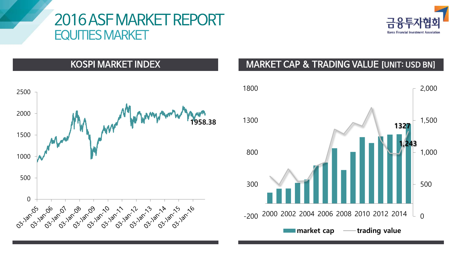## 2016 ASF MARKET REPORT **EQUITIES MARKET**



#### **KOSPI MARKET INDEX**



#### **MARKET CAP & TRADING VALUE [UNIT: USD BN]**

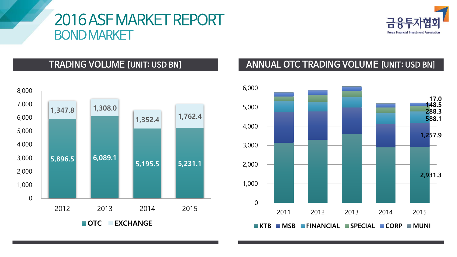## 2016 ASF MARKET REPORT **BOND MARKET**



#### **TRADING VOLUME [UNIT: USD BN]**



#### ANNUAL OTC TRADING VOLUME [UNIT: USD BN]

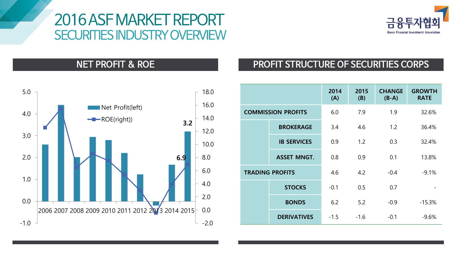### 2016 ASF MARKET REPORT SECURITIES INDUSTRY OVERVIEW



#### **NET PROFIT & ROE**





|                           |                    | 2014<br>(A) | 2015<br>(B) | <b>CHANGE</b><br>$(B-A)$ | <b>GROWTH</b><br><b>RATE</b> |
|---------------------------|--------------------|-------------|-------------|--------------------------|------------------------------|
| <b>COMMISSION PROFITS</b> |                    | 6.0         | 7.9         | 1.9                      | 32.6%                        |
|                           | <b>BROKERAGE</b>   | 3.4         | 4.6         | 1.2                      | 36.4%                        |
|                           | <b>IB SERVICES</b> | 0.9         | 1.2         | 0.3                      | 32.4%                        |
|                           | <b>ASSET MNGT.</b> | 0.8         | 0.9         | 0.1                      | 13.8%                        |
| <b>TRADING PROFITS</b>    |                    | 4.6         | 4.2         | $-0.4$                   | $-9.1%$                      |
|                           | <b>STOCKS</b>      | $-0.1$      | 0.5         | 0.7                      |                              |
|                           | <b>BONDS</b>       | 6.2         | 5.2         | $-0.9$                   | $-15.3%$                     |
|                           | <b>DERIVATIVES</b> | $-1.5$      | $-1.6$      | $-0.1$                   | $-9.6%$                      |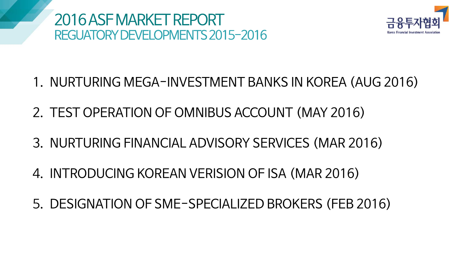



- 1. NURTURING MEGA-INVESTMENT BANKS IN KOREA (AUG 2016)
- 2. TEST OPERATION OF OMNIBUS ACCOUNT (MAY 2016)
- 3. NURTURING FINANCIAL ADVISORY SERVICES (MAR 2016)
- 4. INTRODUCING KOREAN VERISION OF ISA (MAR 2016)
- 5. DESIGNATION OF SME-SPECIALIZED BROKERS (FEB 2016)